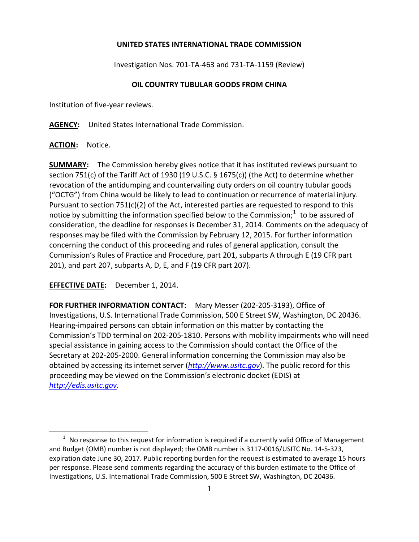## **UNITED STATES INTERNATIONAL TRADE COMMISSION**

Investigation Nos. 701-TA-463 and 731-TA-1159 (Review)

## **OIL COUNTRY TUBULAR GOODS FROM CHINA**

Institution of five-year reviews.

**AGENCY:** United States International Trade Commission.

## **ACTION:** Notice.

 $\overline{a}$ 

**SUMMARY:** The Commission hereby gives notice that it has instituted reviews pursuant to section 751(c) of the Tariff Act of 1930 (19 U.S.C. § 1675(c)) (the Act) to determine whether revocation of the antidumping and countervailing duty orders on oil country tubular goods ("OCTG") from China would be likely to lead to continuation or recurrence of material injury. Pursuant to section 751(c)(2) of the Act, interested parties are requested to respond to this notice by submitting the information specified below to the Commission;<sup>[1](#page-0-0)</sup> to be assured of consideration, the deadline for responses is December 31, 2014. Comments on the adequacy of responses may be filed with the Commission by February 12, 2015. For further information concerning the conduct of this proceeding and rules of general application, consult the Commission's Rules of Practice and Procedure, part 201, subparts A through E (19 CFR part 201), and part 207, subparts A, D, E, and F (19 CFR part 207).

**EFFECTIVE DATE:** December 1, 2014.

**FOR FURTHER INFORMATION CONTACT:** Mary Messer (202-205-3193), Office of Investigations, U.S. International Trade Commission, 500 E Street SW, Washington, DC 20436. Hearing-impaired persons can obtain information on this matter by contacting the Commission's TDD terminal on 202-205-1810. Persons with mobility impairments who will need special assistance in gaining access to the Commission should contact the Office of the Secretary at 202-205-2000. General information concerning the Commission may also be obtained by accessing its internet server (*[http://www.usitc.gov](http://www.usitc.gov/)*). The public record for this proceeding may be viewed on the Commission's electronic docket (EDIS) at *[http://edis.usitc.gov](http://edis.usitc.gov/)*.

<span id="page-0-0"></span> $1$  No response to this request for information is required if a currently valid Office of Management and Budget (OMB) number is not displayed; the OMB number is 3117-0016/USITC No. 14-5-323, expiration date June 30, 2017. Public reporting burden for the request is estimated to average 15 hours per response. Please send comments regarding the accuracy of this burden estimate to the Office of Investigations, U.S. International Trade Commission, 500 E Street SW, Washington, DC 20436.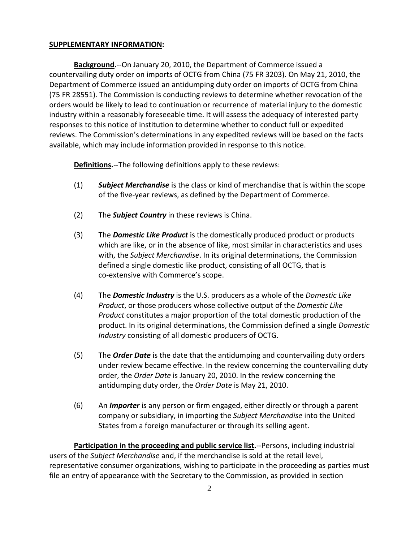## **SUPPLEMENTARY INFORMATION:**

**Background.**--On January 20, 2010, the Department of Commerce issued a countervailing duty order on imports of OCTG from China (75 FR 3203). On May 21, 2010, the Department of Commerce issued an antidumping duty order on imports of OCTG from China (75 FR 28551). The Commission is conducting reviews to determine whether revocation of the orders would be likely to lead to continuation or recurrence of material injury to the domestic industry within a reasonably foreseeable time. It will assess the adequacy of interested party responses to this notice of institution to determine whether to conduct full or expedited reviews. The Commission's determinations in any expedited reviews will be based on the facts available, which may include information provided in response to this notice.

**Definitions.**--The following definitions apply to these reviews:

- (1) *Subject Merchandise* is the class or kind of merchandise that is within the scope of the five-year reviews, as defined by the Department of Commerce.
- (2) The *Subject Country* in these reviews is China.
- (3) The *Domestic Like Product* is the domestically produced product or products which are like, or in the absence of like, most similar in characteristics and uses with, the *Subject Merchandise*. In its original determinations, the Commission defined a single domestic like product, consisting of all OCTG, that is co-extensive with Commerce's scope.
- (4) The *Domestic Industry* is the U.S. producers as a whole of the *Domestic Like Product*, or those producers whose collective output of the *Domestic Like Product* constitutes a major proportion of the total domestic production of the product. In its original determinations, the Commission defined a single *Domestic Industry* consisting of all domestic producers of OCTG.
- (5) The *Order Date* is the date that the antidumping and countervailing duty orders under review became effective. In the review concerning the countervailing duty order, the *Order Date* is January 20, 2010. In the review concerning the antidumping duty order, the *Order Date* is May 21, 2010.
- (6) An *Importer* is any person or firm engaged, either directly or through a parent company or subsidiary, in importing the *Subject Merchandise* into the United States from a foreign manufacturer or through its selling agent.

**Participation in the proceeding and public service list.**--Persons, including industrial users of the *Subject Merchandise* and, if the merchandise is sold at the retail level, representative consumer organizations, wishing to participate in the proceeding as parties must file an entry of appearance with the Secretary to the Commission, as provided in section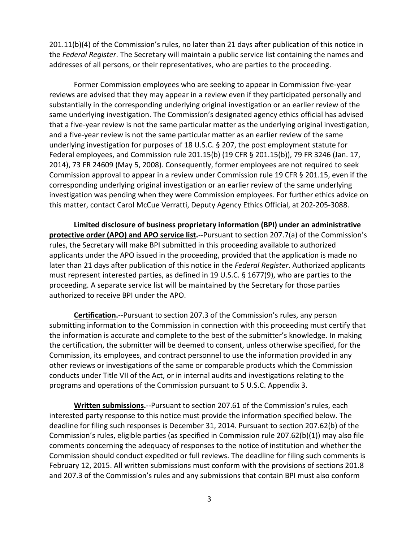201.11(b)(4) of the Commission's rules, no later than 21 days after publication of this notice in the *Federal Register*. The Secretary will maintain a public service list containing the names and addresses of all persons, or their representatives, who are parties to the proceeding.

Former Commission employees who are seeking to appear in Commission five-year reviews are advised that they may appear in a review even if they participated personally and substantially in the corresponding underlying original investigation or an earlier review of the same underlying investigation. The Commission's designated agency ethics official has advised that a five-year review is not the same particular matter as the underlying original investigation, and a five-year review is not the same particular matter as an earlier review of the same underlying investigation for purposes of 18 U.S.C. § 207, the post employment statute for Federal employees, and Commission rule 201.15(b) (19 CFR § 201.15(b)), 79 FR 3246 (Jan. 17, 2014), 73 FR 24609 (May 5, 2008). Consequently, former employees are not required to seek Commission approval to appear in a review under Commission rule 19 CFR § 201.15, even if the corresponding underlying original investigation or an earlier review of the same underlying investigation was pending when they were Commission employees. For further ethics advice on this matter, contact Carol McCue Verratti, Deputy Agency Ethics Official, at 202-205-3088.

**Limited disclosure of business proprietary information (BPI) under an administrative protective order (APO) and APO service list.**--Pursuant to section 207.7(a) of the Commission's rules, the Secretary will make BPI submitted in this proceeding available to authorized applicants under the APO issued in the proceeding, provided that the application is made no later than 21 days after publication of this notice in the *Federal Register*. Authorized applicants must represent interested parties, as defined in 19 U.S.C. § 1677(9), who are parties to the proceeding. A separate service list will be maintained by the Secretary for those parties authorized to receive BPI under the APO.

**Certification.**--Pursuant to section 207.3 of the Commission's rules, any person submitting information to the Commission in connection with this proceeding must certify that the information is accurate and complete to the best of the submitter's knowledge. In making the certification, the submitter will be deemed to consent, unless otherwise specified, for the Commission, its employees, and contract personnel to use the information provided in any other reviews or investigations of the same or comparable products which the Commission conducts under Title VII of the Act, or in internal audits and investigations relating to the programs and operations of the Commission pursuant to 5 U.S.C. Appendix 3.

**Written submissions.**--Pursuant to section 207.61 of the Commission's rules, each interested party response to this notice must provide the information specified below. The deadline for filing such responses is December 31, 2014. Pursuant to section 207.62(b) of the Commission's rules, eligible parties (as specified in Commission rule 207.62(b)(1)) may also file comments concerning the adequacy of responses to the notice of institution and whether the Commission should conduct expedited or full reviews. The deadline for filing such comments is February 12, 2015. All written submissions must conform with the provisions of sections 201.8 and 207.3 of the Commission's rules and any submissions that contain BPI must also conform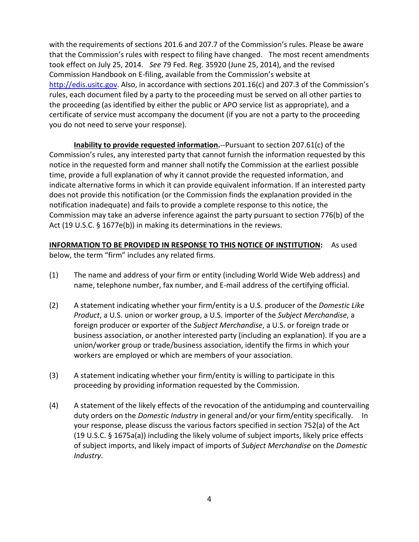with the requirements of sections 201.6 and 207.7 of the Commission's rules. Please be aware that the Commission's rules with respect to filing have changed. The most recent amendments took effect on July 25, 2014. *See* 79 Fed. Reg. 35920 (June 25, 2014), and the revised Commission Handbook on E-filing, available from the Commission's website at [http://edis.usitc.gov.](http://edis.usitc.gov/) Also, in accordance with sections 201.16(c) and 207.3 of the Commission's rules, each document filed by a party to the proceeding must be served on all other parties to the proceeding (as identified by either the public or APO service list as appropriate), and a certificate of service must accompany the document (if you are not a party to the proceeding you do not need to serve your response).

**Inability to provide requested information.**--Pursuant to section 207.61(c) of the Commission's rules, any interested party that cannot furnish the information requested by this notice in the requested form and manner shall notify the Commission at the earliest possible time, provide a full explanation of why it cannot provide the requested information, and indicate alternative forms in which it can provide equivalent information. If an interested party does not provide this notification (or the Commission finds the explanation provided in the notification inadequate) and fails to provide a complete response to this notice, the Commission may take an adverse inference against the party pursuant to section 776(b) of the Act (19 U.S.C. § 1677e(b)) in making its determinations in the reviews.

**INFORMATION TO BE PROVIDED IN RESPONSE TO THIS NOTICE OF INSTITUTION:** As used below, the term "firm" includes any related firms.

- (1) The name and address of your firm or entity (including World Wide Web address) and name, telephone number, fax number, and E-mail address of the certifying official.
- (2) A statement indicating whether your firm/entity is a U.S. producer of the *Domestic Like Product*, a U.S. union or worker group, a U.S. importer of the *Subject Merchandise*, a foreign producer or exporter of the *Subject Merchandise*, a U.S. or foreign trade or business association, or another interested party (including an explanation). If you are a union/worker group or trade/business association, identify the firms in which your workers are employed or which are members of your association.
- (3) A statement indicating whether your firm/entity is willing to participate in this proceeding by providing information requested by the Commission.
- (4) A statement of the likely effects of the revocation of the antidumping and countervailing duty orders on the *Domestic Industry* in general and/or your firm/entity specifically. In your response, please discuss the various factors specified in section 752(a) of the Act (19 U.S.C. § 1675a(a)) including the likely volume of subject imports, likely price effects of subject imports, and likely impact of imports of *Subject Merchandise* on the *Domestic Industry*.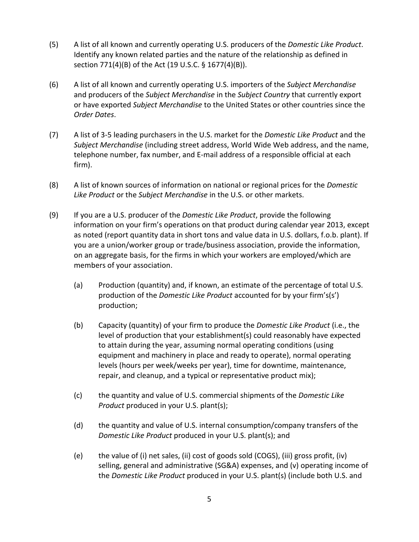- (5) A list of all known and currently operating U.S. producers of the *Domestic Like Product*. Identify any known related parties and the nature of the relationship as defined in section 771(4)(B) of the Act (19 U.S.C. § 1677(4)(B)).
- (6) A list of all known and currently operating U.S. importers of the *Subject Merchandise* and producers of the *Subject Merchandise* in the *Subject Country* that currently export or have exported *Subject Merchandise* to the United States or other countries since the *Order Dates*.
- (7) A list of 3-5 leading purchasers in the U.S. market for the *Domestic Like Product* and the *Subject Merchandise* (including street address, World Wide Web address, and the name, telephone number, fax number, and E-mail address of a responsible official at each firm).
- (8) A list of known sources of information on national or regional prices for the *Domestic Like Product* or the *Subject Merchandise* in the U.S. or other markets.
- (9) If you are a U.S. producer of the *Domestic Like Product*, provide the following information on your firm's operations on that product during calendar year 2013, except as noted (report quantity data in short tons and value data in U.S. dollars, f.o.b. plant). If you are a union/worker group or trade/business association, provide the information, on an aggregate basis, for the firms in which your workers are employed/which are members of your association.
	- (a) Production (quantity) and, if known, an estimate of the percentage of total U.S. production of the *Domestic Like Product* accounted for by your firm's(s') production;
	- (b) Capacity (quantity) of your firm to produce the *Domestic Like Product* (i.e., the level of production that your establishment(s) could reasonably have expected to attain during the year, assuming normal operating conditions (using equipment and machinery in place and ready to operate), normal operating levels (hours per week/weeks per year), time for downtime, maintenance, repair, and cleanup, and a typical or representative product mix);
	- (c) the quantity and value of U.S. commercial shipments of the *Domestic Like Product* produced in your U.S. plant(s);
	- (d) the quantity and value of U.S. internal consumption/company transfers of the *Domestic Like Product* produced in your U.S. plant(s); and
	- (e) the value of (i) net sales, (ii) cost of goods sold (COGS), (iii) gross profit, (iv) selling, general and administrative (SG&A) expenses, and (v) operating income of the *Domestic Like Product* produced in your U.S. plant(s) (include both U.S. and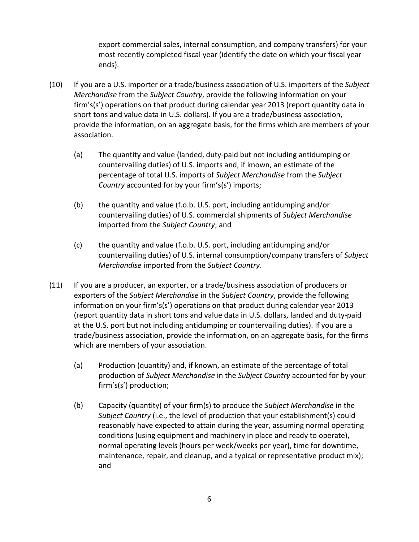export commercial sales, internal consumption, and company transfers) for your most recently completed fiscal year (identify the date on which your fiscal year ends).

- (10) If you are a U.S. importer or a trade/business association of U.S. importers of the *Subject Merchandise* from the *Subject Country*, provide the following information on your firm's(s') operations on that product during calendar year 2013 (report quantity data in short tons and value data in U.S. dollars). If you are a trade/business association, provide the information, on an aggregate basis, for the firms which are members of your association.
	- (a) The quantity and value (landed, duty-paid but not including antidumping or countervailing duties) of U.S. imports and, if known, an estimate of the percentage of total U.S. imports of *Subject Merchandise* from the *Subject Country* accounted for by your firm's(s') imports;
	- (b) the quantity and value (f.o.b. U.S. port, including antidumping and/or countervailing duties) of U.S. commercial shipments of *Subject Merchandise* imported from the *Subject Country*; and
	- (c) the quantity and value (f.o.b. U.S. port, including antidumping and/or countervailing duties) of U.S. internal consumption/company transfers of *Subject Merchandise* imported from the *Subject Country*.
- (11) If you are a producer, an exporter, or a trade/business association of producers or exporters of the *Subject Merchandise* in the *Subject Country*, provide the following information on your firm's(s') operations on that product during calendar year 2013 (report quantity data in short tons and value data in U.S. dollars, landed and duty-paid at the U.S. port but not including antidumping or countervailing duties). If you are a trade/business association, provide the information, on an aggregate basis, for the firms which are members of your association.
	- (a) Production (quantity) and, if known, an estimate of the percentage of total production of *Subject Merchandise* in the *Subject Country* accounted for by your firm's(s') production;
	- (b) Capacity (quantity) of your firm(s) to produce the *Subject Merchandise* in the *Subject Country* (i.e., the level of production that your establishment(s) could reasonably have expected to attain during the year, assuming normal operating conditions (using equipment and machinery in place and ready to operate), normal operating levels (hours per week/weeks per year), time for downtime, maintenance, repair, and cleanup, and a typical or representative product mix); and